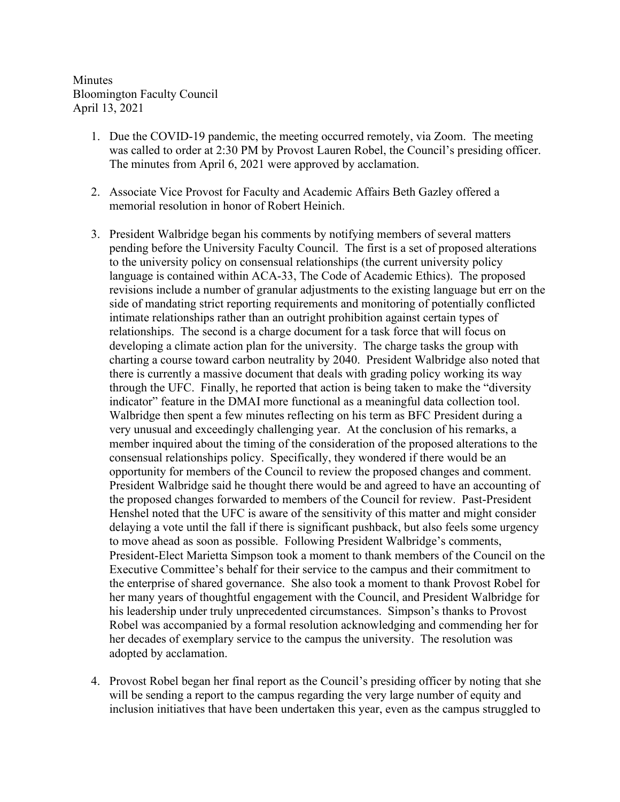**Minutes** Bloomington Faculty Council April 13, 2021

- 1. Due the COVID-19 pandemic, the meeting occurred remotely, via Zoom. The meeting was called to order at 2:30 PM by Provost Lauren Robel, the Council's presiding officer. The minutes from April 6, 2021 were approved by acclamation.
- 2. Associate Vice Provost for Faculty and Academic Affairs Beth Gazley offered a memorial resolution in honor of Robert Heinich.
- 3. President Walbridge began his comments by notifying members of several matters pending before the University Faculty Council. The first is a set of proposed alterations to the university policy on consensual relationships (the current university policy language is contained within ACA-33, The Code of Academic Ethics). The proposed revisions include a number of granular adjustments to the existing language but err on the side of mandating strict reporting requirements and monitoring of potentially conflicted intimate relationships rather than an outright prohibition against certain types of relationships. The second is a charge document for a task force that will focus on developing a climate action plan for the university. The charge tasks the group with charting a course toward carbon neutrality by 2040. President Walbridge also noted that there is currently a massive document that deals with grading policy working its way through the UFC. Finally, he reported that action is being taken to make the "diversity indicator" feature in the DMAI more functional as a meaningful data collection tool. Walbridge then spent a few minutes reflecting on his term as BFC President during a very unusual and exceedingly challenging year. At the conclusion of his remarks, a member inquired about the timing of the consideration of the proposed alterations to the consensual relationships policy. Specifically, they wondered if there would be an opportunity for members of the Council to review the proposed changes and comment. President Walbridge said he thought there would be and agreed to have an accounting of the proposed changes forwarded to members of the Council for review. Past-President Henshel noted that the UFC is aware of the sensitivity of this matter and might consider delaying a vote until the fall if there is significant pushback, but also feels some urgency to move ahead as soon as possible. Following President Walbridge's comments, President-Elect Marietta Simpson took a moment to thank members of the Council on the Executive Committee's behalf for their service to the campus and their commitment to the enterprise of shared governance. She also took a moment to thank Provost Robel for her many years of thoughtful engagement with the Council, and President Walbridge for his leadership under truly unprecedented circumstances. Simpson's thanks to Provost Robel was accompanied by a formal resolution acknowledging and commending her for her decades of exemplary service to the campus the university. The resolution was adopted by acclamation.
- 4. Provost Robel began her final report as the Council's presiding officer by noting that she will be sending a report to the campus regarding the very large number of equity and inclusion initiatives that have been undertaken this year, even as the campus struggled to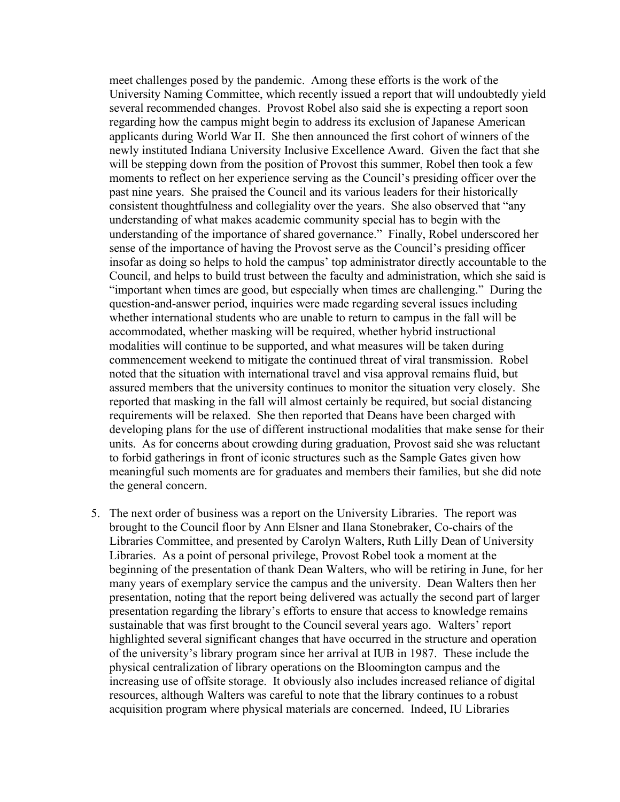meet challenges posed by the pandemic. Among these efforts is the work of the University Naming Committee, which recently issued a report that will undoubtedly yield several recommended changes. Provost Robel also said she is expecting a report soon regarding how the campus might begin to address its exclusion of Japanese American applicants during World War II. She then announced the first cohort of winners of the newly instituted Indiana University Inclusive Excellence Award. Given the fact that she will be stepping down from the position of Provost this summer, Robel then took a few moments to reflect on her experience serving as the Council's presiding officer over the past nine years. She praised the Council and its various leaders for their historically consistent thoughtfulness and collegiality over the years. She also observed that "any understanding of what makes academic community special has to begin with the understanding of the importance of shared governance." Finally, Robel underscored her sense of the importance of having the Provost serve as the Council's presiding officer insofar as doing so helps to hold the campus' top administrator directly accountable to the Council, and helps to build trust between the faculty and administration, which she said is "important when times are good, but especially when times are challenging." During the question-and-answer period, inquiries were made regarding several issues including whether international students who are unable to return to campus in the fall will be accommodated, whether masking will be required, whether hybrid instructional modalities will continue to be supported, and what measures will be taken during commencement weekend to mitigate the continued threat of viral transmission. Robel noted that the situation with international travel and visa approval remains fluid, but assured members that the university continues to monitor the situation very closely. She reported that masking in the fall will almost certainly be required, but social distancing requirements will be relaxed. She then reported that Deans have been charged with developing plans for the use of different instructional modalities that make sense for their units. As for concerns about crowding during graduation, Provost said she was reluctant to forbid gatherings in front of iconic structures such as the Sample Gates given how meaningful such moments are for graduates and members their families, but she did note the general concern.

5. The next order of business was a report on the University Libraries. The report was brought to the Council floor by Ann Elsner and Ilana Stonebraker, Co-chairs of the Libraries Committee, and presented by Carolyn Walters, Ruth Lilly Dean of University Libraries. As a point of personal privilege, Provost Robel took a moment at the beginning of the presentation of thank Dean Walters, who will be retiring in June, for her many years of exemplary service the campus and the university. Dean Walters then her presentation, noting that the report being delivered was actually the second part of larger presentation regarding the library's efforts to ensure that access to knowledge remains sustainable that was first brought to the Council several years ago. Walters' report highlighted several significant changes that have occurred in the structure and operation of the university's library program since her arrival at IUB in 1987. These include the physical centralization of library operations on the Bloomington campus and the increasing use of offsite storage. It obviously also includes increased reliance of digital resources, although Walters was careful to note that the library continues to a robust acquisition program where physical materials are concerned. Indeed, IU Libraries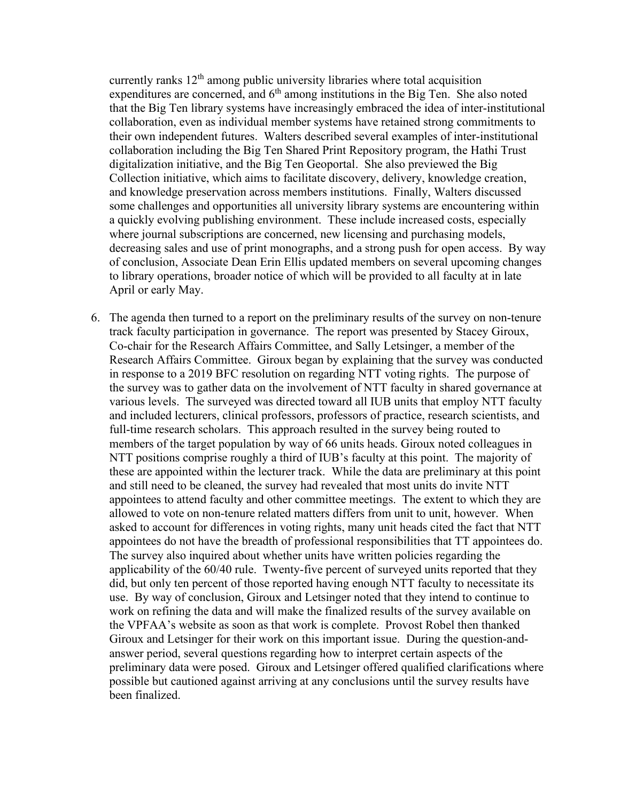currently ranks  $12<sup>th</sup>$  among public university libraries where total acquisition expenditures are concerned, and  $6<sup>th</sup>$  among institutions in the Big Ten. She also noted that the Big Ten library systems have increasingly embraced the idea of inter-institutional collaboration, even as individual member systems have retained strong commitments to their own independent futures. Walters described several examples of inter-institutional collaboration including the Big Ten Shared Print Repository program, the Hathi Trust digitalization initiative, and the Big Ten Geoportal. She also previewed the Big Collection initiative, which aims to facilitate discovery, delivery, knowledge creation, and knowledge preservation across members institutions. Finally, Walters discussed some challenges and opportunities all university library systems are encountering within a quickly evolving publishing environment. These include increased costs, especially where journal subscriptions are concerned, new licensing and purchasing models, decreasing sales and use of print monographs, and a strong push for open access. By way of conclusion, Associate Dean Erin Ellis updated members on several upcoming changes to library operations, broader notice of which will be provided to all faculty at in late April or early May.

6. The agenda then turned to a report on the preliminary results of the survey on non-tenure track faculty participation in governance. The report was presented by Stacey Giroux, Co-chair for the Research Affairs Committee, and Sally Letsinger, a member of the Research Affairs Committee. Giroux began by explaining that the survey was conducted in response to a 2019 BFC resolution on regarding NTT voting rights. The purpose of the survey was to gather data on the involvement of NTT faculty in shared governance at various levels. The surveyed was directed toward all IUB units that employ NTT faculty and included lecturers, clinical professors, professors of practice, research scientists, and full-time research scholars. This approach resulted in the survey being routed to members of the target population by way of 66 units heads. Giroux noted colleagues in NTT positions comprise roughly a third of IUB's faculty at this point. The majority of these are appointed within the lecturer track. While the data are preliminary at this point and still need to be cleaned, the survey had revealed that most units do invite NTT appointees to attend faculty and other committee meetings. The extent to which they are allowed to vote on non-tenure related matters differs from unit to unit, however. When asked to account for differences in voting rights, many unit heads cited the fact that NTT appointees do not have the breadth of professional responsibilities that TT appointees do. The survey also inquired about whether units have written policies regarding the applicability of the 60/40 rule. Twenty-five percent of surveyed units reported that they did, but only ten percent of those reported having enough NTT faculty to necessitate its use. By way of conclusion, Giroux and Letsinger noted that they intend to continue to work on refining the data and will make the finalized results of the survey available on the VPFAA's website as soon as that work is complete. Provost Robel then thanked Giroux and Letsinger for their work on this important issue. During the question-andanswer period, several questions regarding how to interpret certain aspects of the preliminary data were posed. Giroux and Letsinger offered qualified clarifications where possible but cautioned against arriving at any conclusions until the survey results have been finalized.